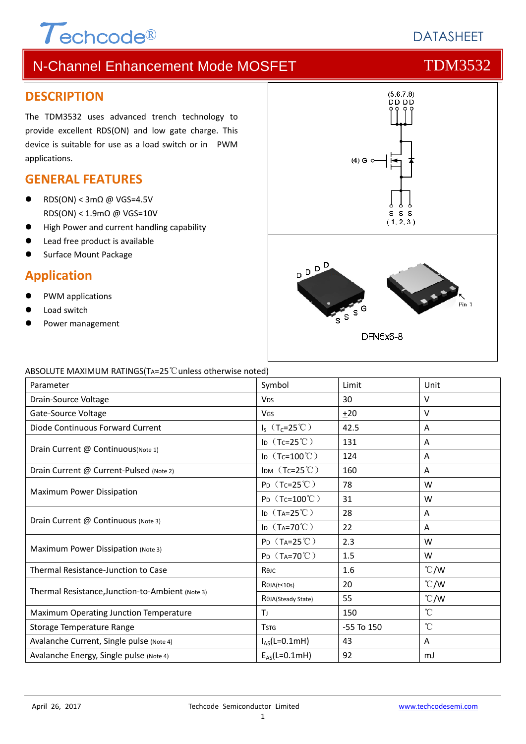# $\tau$ <sub>echcode®</sub>

# **DATASHEET**

# N-Channel Enhancement Mode MOSFET THE TDM3532

### **DESCRIPTION**

The TDM3532 uses advanced trench technology to provide excellent RDS(ON) and low gate charge. This device is suitable for use as a load switch or in PWM applications.

### **GENERAL FEATURES**

- RDS(ON) < 3m $\Omega$  @ VGS=4.5V RDS(ON) < 1.9mΩ @ VGS=10V
- **High Power and current handling capability**
- Lead free product is available
- Surface Mount Package

### **Application**

- PWM applications
- Load switch
- Power management



#### ABSOLUTE MAXIMUM RATINGS(TA=25℃unless otherwise noted)

| Parameter                                        | Symbol<br>Limit               |                | Unit          |
|--------------------------------------------------|-------------------------------|----------------|---------------|
| Drain-Source Voltage                             | <b>V<sub>DS</sub></b>         | 30             | V             |
| Gate-Source Voltage                              | <b>V<sub>GS</sub></b>         | ±20            | V             |
| Diode Continuous Forward Current                 | $I_S$ (T <sub>C</sub> =25°C)  | 42.5           | Α             |
|                                                  | ID $(Tc=25^{\circ}C)$         | 131            | Α             |
| Drain Current @ Continuous (Note 1)              | ID $(Tc=100^{\circ}C)$        | 124            | Α             |
| Drain Current @ Current-Pulsed (Note 2)          | IDM $(Tc=25^{\circ}C)$        | 160            | A             |
| Maximum Power Dissipation                        | $P_D$ (Tc=25°C)               | 78             | W             |
|                                                  | $P_D$ (Tc=100°C)              | 31             | W             |
|                                                  | ID $(T_A=25^{\circ}C)$        | 28             | A             |
| Drain Current @ Continuous (Note 3)              | ID $(T_A=70^{\circ}\text{C})$ | 22             | A             |
|                                                  | $P_D$ (T <sub>A</sub> =25°C)  | 2.3            | W             |
| Maximum Power Dissipation (Note 3)               | $P_D$ (T <sub>A</sub> =70°C)  | 1.5            | W             |
| Thermal Resistance-Junction to Case              | Reic                          | 1.6            | $\degree$ C/W |
|                                                  | $R\theta$ JA(t≤10s)           | 20             | $\degree$ C/W |
| Thermal Resistance, Junction-to-Ambient (Note 3) | ROJA(Steady State)            | 55             | $\degree$ C/W |
| Maximum Operating Junction Temperature           | T                             | 150            | $^{\circ}$ C  |
| Storage Temperature Range                        | <b>TSTG</b>                   | $-55$ To $150$ | $^{\circ}$ C  |
| Avalanche Current, Single pulse (Note 4)         | $I_{AS}(L=0.1mH)$             | 43             | Α             |
| Avalanche Energy, Single pulse (Note 4)          | $E_{AS}(L=0.1mH)$             | 92             | mJ            |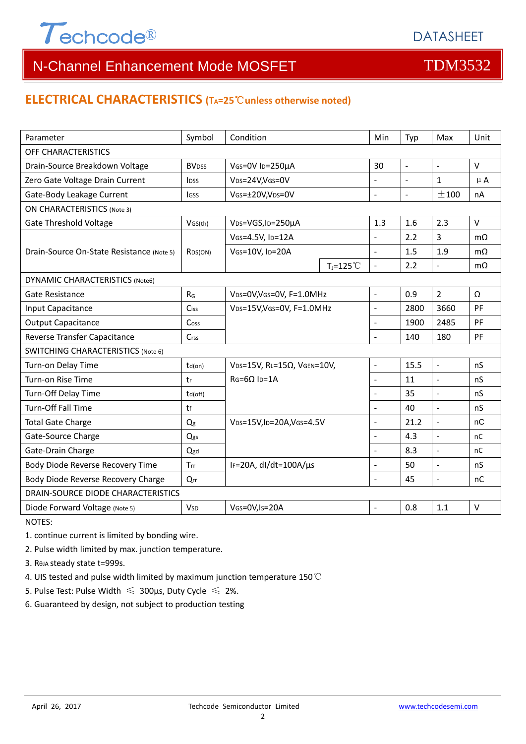

# N-Channel Enhancement Mode MOSFET THE TDM3532

### **ELECTRICAL CHARACTERISTICS (TA=25**℃**unless otherwise noted)**

| Parameter                                 | Symbol                   | Condition                                   |                | Min            | Typ            | Max                      | Unit      |  |
|-------------------------------------------|--------------------------|---------------------------------------------|----------------|----------------|----------------|--------------------------|-----------|--|
| OFF CHARACTERISTICS                       |                          |                                             |                |                |                |                          |           |  |
| Drain-Source Breakdown Voltage            | <b>BV</b> <sub>DSS</sub> | VGS=0V ID=250µA                             |                | 30             | $\mathbb{L}$   | $\overline{\phantom{a}}$ | V         |  |
| Zero Gate Voltage Drain Current           | <b>IDSS</b>              | VDS=24V,VGS=0V                              |                | ÷,             | $\blacksquare$ | $\mathbf{1}$             | $\mu$ A   |  |
| Gate-Body Leakage Current                 | lgss                     | VGS=±20V,VDS=0V                             |                | $\overline{a}$ | $\overline{a}$ | ±100                     | nA        |  |
| <b>ON CHARACTERISTICS (Note 3)</b>        |                          |                                             |                |                |                |                          |           |  |
| <b>Gate Threshold Voltage</b>             | VGS(th)                  | V <sub>DS</sub> =VGS, I <sub>D</sub> =250µA |                | 1.3            | 1.6            | 2.3                      | V         |  |
| Drain-Source On-State Resistance (Note 5) | RDS(ON)                  | VGS=4.5V, ID=12A                            |                | ÷,             | 2.2            | 3                        | $m\Omega$ |  |
|                                           |                          | VGS=10V, ID=20A                             |                |                | 1.5            | 1.9                      | $m\Omega$ |  |
|                                           |                          |                                             | $T_j = 125$ °C | $\overline{a}$ | 2.2            | $\overline{\phantom{a}}$ | $m\Omega$ |  |
| <b>DYNAMIC CHARACTERISTICS (Note6)</b>    |                          |                                             |                |                |                |                          |           |  |
| Gate Resistance                           | $R_G$                    | VDS=0V, VGS=0V, F=1.0MHz                    |                | $\overline{a}$ | 0.9            | $\overline{2}$           | Ω         |  |
| Input Capacitance                         | Ciss                     | VDS=15V, VGS=0V, F=1.0MHz                   |                | $\overline{a}$ | 2800           | 3660                     | PF        |  |
| <b>Output Capacitance</b>                 | Coss                     |                                             |                | $\overline{a}$ | 1900           | 2485                     | PF        |  |
| Reverse Transfer Capacitance              | Crss                     |                                             |                | $\overline{a}$ | 140            | 180                      | PF        |  |
| <b>SWITCHING CHARACTERISTICS (Note 6)</b> |                          |                                             |                |                |                |                          |           |  |
| Turn-on Delay Time                        | $td($ on $)$             | $VDS=15V$ , RL=15 $\Omega$ , VGEN=10V,      |                | $\overline{a}$ | 15.5           | $\Box$                   | nS        |  |
| Turn-on Rise Time                         | tr                       | $RG = 6\Omega$ Ip=1A                        |                | $\overline{a}$ | 11             | $\Box$                   | nS        |  |
| Turn-Off Delay Time                       | td(off)                  |                                             |                | $\overline{a}$ | 35             | $\Box$                   | nS        |  |
| Turn-Off Fall Time                        | tf                       |                                             |                |                | 40             | $\overline{a}$           | nS        |  |
| <b>Total Gate Charge</b>                  | Q <sub>g</sub>           | VDS=15V, ID=20A, VGS=4.5V                   |                | $\overline{a}$ | 21.2           | $\overline{a}$           | nC        |  |
| Gate-Source Charge                        | Qgs                      |                                             |                | $\overline{a}$ | 4.3            | $\Box$                   | nC        |  |
| Gate-Drain Charge                         | Qgd                      |                                             |                | L.             | 8.3            | $\overline{\phantom{a}}$ | nC        |  |
| Body Diode Reverse Recovery Time          | Trr                      | IF=20A, $dl/dt=100A/\mu s$                  |                | $\overline{a}$ | 50             | $\overline{a}$           | nS        |  |
| Body Diode Reverse Recovery Charge        | Qrr                      |                                             |                | $\overline{a}$ | 45             | $\overline{a}$           | nC        |  |
| DRAIN-SOURCE DIODE CHARACTERISTICS        |                          |                                             |                |                |                |                          |           |  |
| Diode Forward Voltage (Note 5)            | <b>V<sub>SD</sub></b>    | VGS=0V,Is=20A                               |                | $\overline{a}$ | 0.8            | 1.1                      | $\vee$    |  |

NOTES:

1. continue current is limited by bonding wire.

2. Pulse width limited by max. junction temperature.

3. RθJA steady state t=999s.

4. UIS tested and pulse width limited by maximum junction temperature 150℃

5. Pulse Test: Pulse Width  $\leq 300$ μs, Duty Cycle  $\leq 2\%$ .

6. Guaranteed by design, not subject to production testing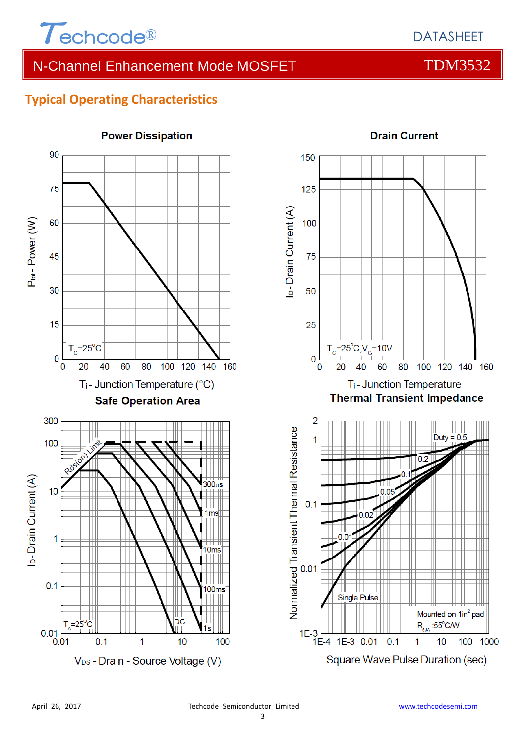

# N-Channel Enhancement Mode MOSFET TOM3532

# **Typical Operating Characteristics**





### **Drain Current**

Square Wave Pulse Duration (sec)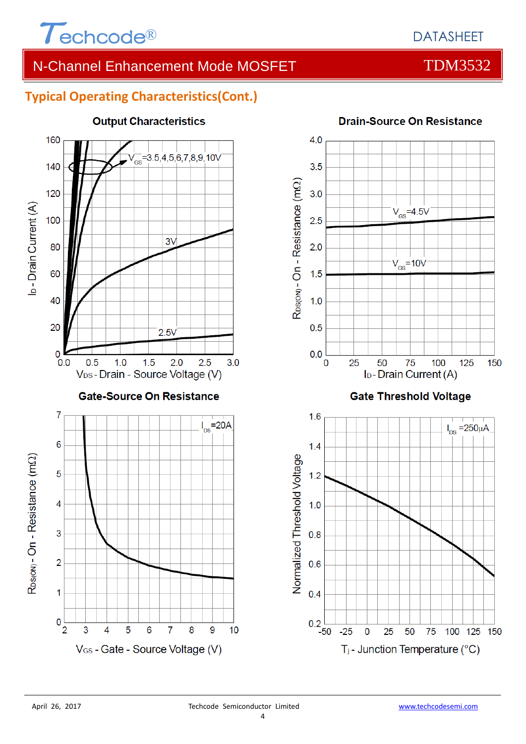

# N-Channel Enhancement Mode MOSFET THE TDM3532

## **Typical Operating Characteristics(Cont.)**



# **Output Characteristics**



### **Drain-Source On Resistance**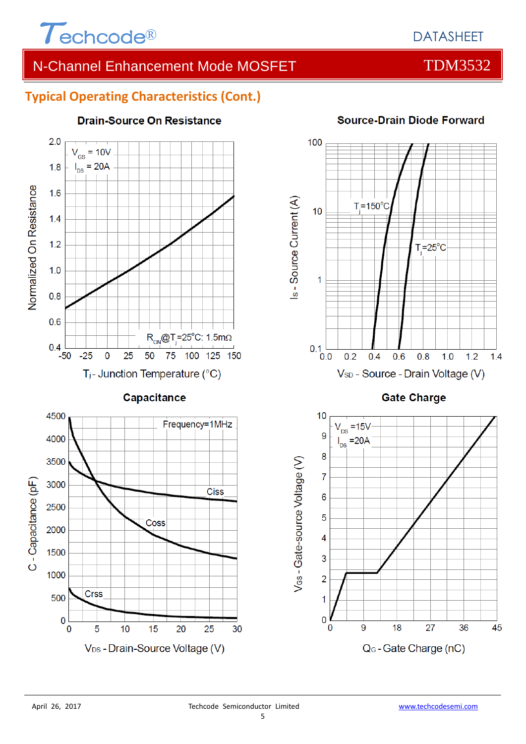

# N-Channel Enhancement Mode MOSFET THE TDM3532

### **Typical Operating Characteristics (Cont.)**



**Drain-Source On Resistance** 

# 100 Is - Source Current (A)  $T = 150^{\circ}$ C  $10$  $T = 25^{\circ}C$ 1  $0.1$ <sub>0.0</sub>  $0.2$  $0.4$  $0.6$  $0.8$  $1.0$  $1.2$  $1.4$ V<sub>SD</sub> - Source - Drain Voltage (V)

### **Source-Drain Diode Forward**

**Gate Charge** 

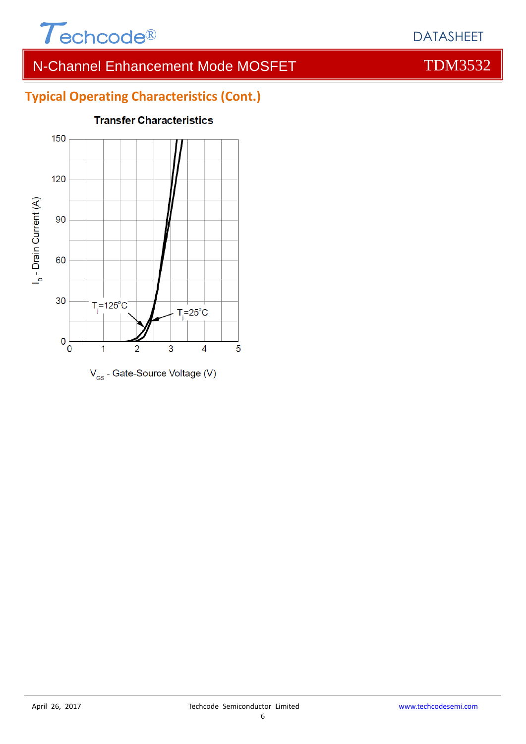

# N-Channel Enhancement Mode MOSFET THE TOM3532

# **Typical Operating Characteristics (Cont.)**



### **Transfer Characteristics**

## DATASHEET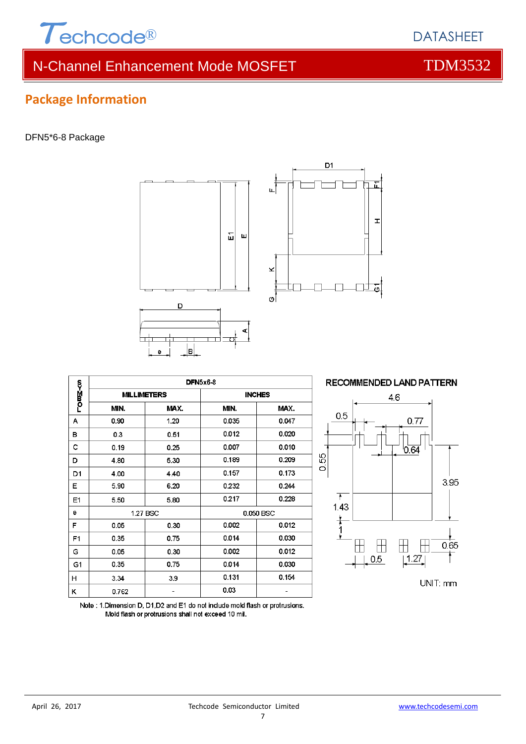

# N-Channel Enhancement Mode MOSFET THE TOM3532

**Package Information**

#### DFN5\*6-8 Package





|                | <b>DFN5x6-8</b> |                    |               |       |  |  |  |
|----------------|-----------------|--------------------|---------------|-------|--|--|--|
| romM≺o         |                 | <b>MILLIMETERS</b> | <b>INCHES</b> |       |  |  |  |
|                | MIN.            | MAX.               | MIN.          | MAX.  |  |  |  |
| А              | 0.90            | 1.20               | 0.035         | 0.047 |  |  |  |
| в              | 0.3             | 0.51               | 0.012         | 0.020 |  |  |  |
| с              | 0.19            | 0.25               | 0.007         | 0.010 |  |  |  |
| D              | 4.80            | 5.30               | 0.189         | 0.209 |  |  |  |
| D1             | 4.00            | 4.40               | 0.157         | 0.173 |  |  |  |
| Е              | 5.90            | 6.20               | 0.232         | 0.244 |  |  |  |
| E1             | 5.50            | 5.80               | 0.217         | 0.228 |  |  |  |
| е              | 1.27 BSC        |                    | 0.050 BSC     |       |  |  |  |
| F              | 0.05            | 0.30               | 0.002         | 0.012 |  |  |  |
| F <sub>1</sub> | 0.35            | 0.75               | 0.014         | 0.030 |  |  |  |
| G              | 0.05            | 0.30               | 0.002         | 0.012 |  |  |  |
| G1             | 0.35            | 0.75               | 0.014         | 0.030 |  |  |  |
| н              | 3.34            | 3.9                | 0.131         | 0.154 |  |  |  |
| κ              | 0.762           |                    | 0.03          |       |  |  |  |



Note: 1. Dimension D, D1, D2 and E1 do not include mold flash or protrusions. Mold flash or protrusions shall not exceed 10 mil.

DATASHEET